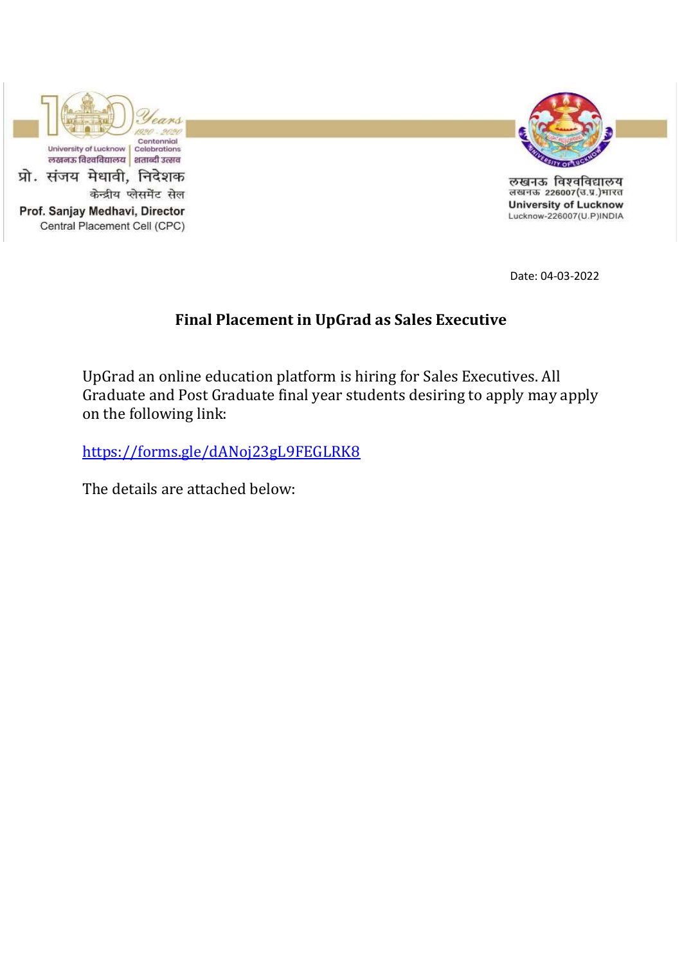



लखनऊ विश्वविद्यालय लखनऊ 226007(उ.प्र.)भारत **University of Lucknow** Lucknow-226007(U.P)INDIA

Date: 04-03-2022

## **Final Placement in UpGrad as Sales Executive**

UpGrad an online education platform is hiring for Sales Executives. All Graduate and Post Graduate final year students desiring to apply may apply on the following link:

<https://forms.gle/dANoj23gL9FEGLRK8>

The details are attached below: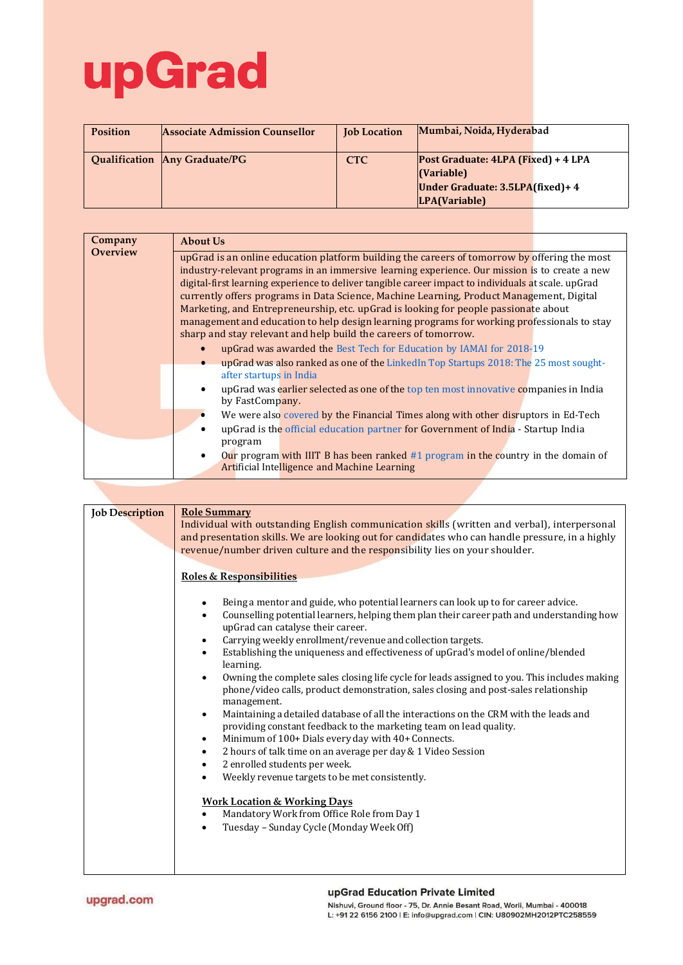## upGrad

| <b>Position</b> | <b>Associate Admission Counsellor</b> | <b>Job Location</b> | Mumbai, Noida, Hyderabad                                                                                       |  |
|-----------------|---------------------------------------|---------------------|----------------------------------------------------------------------------------------------------------------|--|
|                 | Qualification Any Graduate/PG         | <b>CTC</b>          | Post Graduate: 4LPA (Fixed) + 4 LPA<br>$\vert$ (Variable)<br>Under Graduate: 3.5LPA(fixed)+4<br> LPA(Variable) |  |

| Company         | About Us                                                                                                                                                       |  |  |  |
|-----------------|----------------------------------------------------------------------------------------------------------------------------------------------------------------|--|--|--|
| <b>Overview</b> | upGrad is an online education platform building the careers of tomorrow by offering the most                                                                   |  |  |  |
|                 | industry-relevant programs in an immersive learning experience. Our mission is to create a new                                                                 |  |  |  |
|                 | digital-first learning experience to deliver tangible career impact to individuals at scale. upGrad                                                            |  |  |  |
|                 | currently offers programs in Data Science, Machine Learning, Product Management, Digital                                                                       |  |  |  |
|                 | Marketing, and Entrepreneurship, etc. upGrad is looking for people passionate about                                                                            |  |  |  |
|                 | management and education to help design learning programs for working professionals to stay<br>sharp and stay relevant and help build the careers of tomorrow. |  |  |  |
|                 | upGrad was awarded the Best Tech for Education by IAMAI for 2018-19                                                                                            |  |  |  |
|                 | upGrad was also ranked as one of the Linked In Top Startups 2018: The 25 most sought-                                                                          |  |  |  |
|                 | after startups in India                                                                                                                                        |  |  |  |
|                 | upGrad was earlier selected as one of the top ten most innovative companies in India<br>by FastCompany.                                                        |  |  |  |
|                 | We were also covered by the Financial Times along with other disruptors in Ed-Tech                                                                             |  |  |  |
|                 | upGrad is the official education partner for Government of India - Startup India<br>٠                                                                          |  |  |  |
|                 | program                                                                                                                                                        |  |  |  |
|                 | Our program with IIIT B has been ranked $#1$ program in the country in the domain of<br>$\bullet$                                                              |  |  |  |
|                 | <b>Artificial Intelligence and Machine Learning</b>                                                                                                            |  |  |  |

| <b>Job Description</b> | <b>Role Summary</b><br>Individual with outstanding English communication skills (written and verbal), interpersonal<br>and presentation skills. We are looking out for candidates who can handle pressure, in a highly<br>revenue/number driven culture and the responsibility lies on your shoulder.                                                                                                                                                                                                                                                                                                                                                                                                                                                                                                                                                                                                                                                                                                                                                                                                                                                                                                                                                               |  |  |  |  |
|------------------------|---------------------------------------------------------------------------------------------------------------------------------------------------------------------------------------------------------------------------------------------------------------------------------------------------------------------------------------------------------------------------------------------------------------------------------------------------------------------------------------------------------------------------------------------------------------------------------------------------------------------------------------------------------------------------------------------------------------------------------------------------------------------------------------------------------------------------------------------------------------------------------------------------------------------------------------------------------------------------------------------------------------------------------------------------------------------------------------------------------------------------------------------------------------------------------------------------------------------------------------------------------------------|--|--|--|--|
|                        | <b>Roles &amp; Responsibilities</b>                                                                                                                                                                                                                                                                                                                                                                                                                                                                                                                                                                                                                                                                                                                                                                                                                                                                                                                                                                                                                                                                                                                                                                                                                                 |  |  |  |  |
|                        | Being a mentor and guide, who potential learners can look up to for career advice.<br>$\bullet$<br>Counselling potential learners, helping them plan their career path and understanding how<br>$\bullet$<br>upGrad can catalyse their career.<br>Carrying weekly enrollment/revenue and collection targets.<br>$\bullet$<br>Establishing the uniqueness and effectiveness of upGrad's model of online/blended<br>$\bullet$<br>learning.<br>Owning the complete sales closing life cycle for leads assigned to you. This includes making<br>$\bullet$<br>phone/video calls, product demonstration, sales closing and post-sales relationship<br>management.<br>Maintaining a detailed database of all the interactions on the CRM with the leads and<br>$\bullet$<br>providing constant feedback to the marketing team on lead quality.<br>Minimum of 100+ Dials every day with 40+ Connects.<br>$\bullet$<br>2 hours of talk time on an average per day & 1 Video Session<br>$\bullet$<br>2 enrolled students per week.<br>$\bullet$<br>Weekly revenue targets to be met consistently.<br>$\bullet$<br><b>Work Location &amp; Working Days</b><br>Mandatory Work from Office Role from Day 1<br>$\bullet$<br>Tuesday - Sunday Cycle (Monday Week Off)<br>$\bullet$ |  |  |  |  |
|                        |                                                                                                                                                                                                                                                                                                                                                                                                                                                                                                                                                                                                                                                                                                                                                                                                                                                                                                                                                                                                                                                                                                                                                                                                                                                                     |  |  |  |  |

## upGrad Education Private Limited